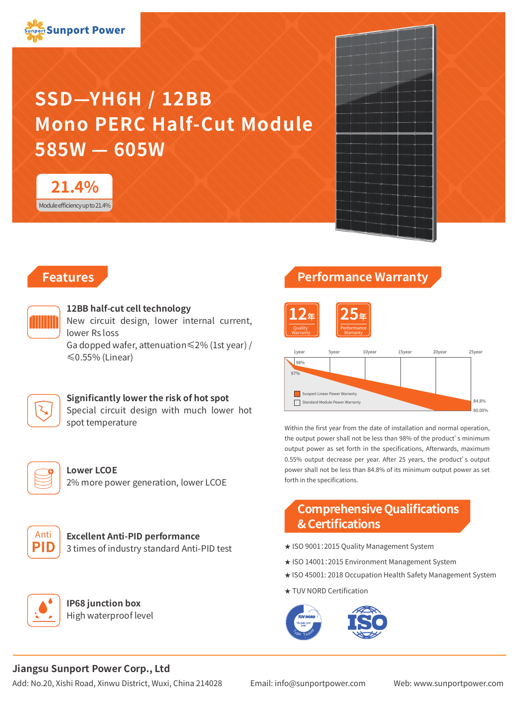

# **SSD—YH6H / 12BB Mono PERC Half-Cut Module 585W — 605W**



# **Features**



### **12BB half-cut cell technology**

New circuit design, lower internal current, lower Rs loss

Ga dopped wafer, attenuation≤2% (1st year) / ≤0.55% (Linear)

# **Significantly lower the risk of hot spot**

Special circuit design with much lower hot spot temperature



#### **Lower LCOE** 2% more power generation, lower LCOE



**Excellent Anti-PID performance** 3 times of industry standard Anti-PID test



**IP68 junction box** High waterproof level

# **Performance Warranty**





Within the first year from the date of installation and normal operation, the output power shall not be less than 98% of the product's minimum output power as set forth in the specifications, Afterwards, maximum 0.55% output decrease per year. After 25 years, the product's output power shall not be less than 84.8% of its minimum output power as set forth in the specifications.

# **Comprehensive Qualifications & Certifications**

- ★ ISO 9001:2015 Quality Management System
- ★ ISO 14001:2015 Environment Management System
- ★ ISO 45001: 2018 Occupation Health Safety Management System
- ★ TUV NORD Certification



# **Jiangsu Sunport Power Corp., Ltd**

Add: No.20, Xishi Road, Xinwu District, Wuxi, China 214028 Email: info@sunportpower.com Web: www.sunportpower.com